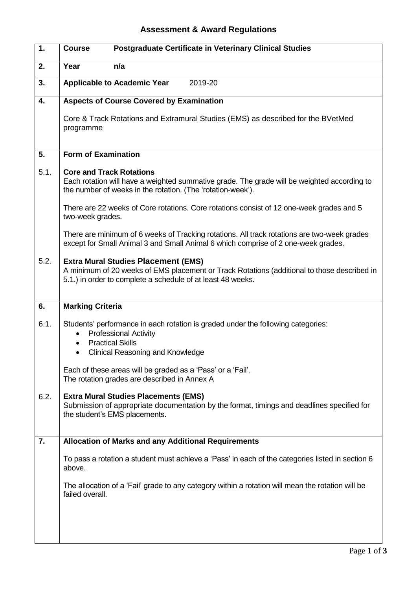## **Assessment & Award Regulations**

| 1.   | <b>Postgraduate Certificate in Veterinary Clinical Studies</b><br><b>Course</b>                                                                                                                          |  |  |  |  |  |
|------|----------------------------------------------------------------------------------------------------------------------------------------------------------------------------------------------------------|--|--|--|--|--|
| 2.   | Year<br>n/a                                                                                                                                                                                              |  |  |  |  |  |
| 3.   | <b>Applicable to Academic Year</b><br>2019-20                                                                                                                                                            |  |  |  |  |  |
| 4.   | <b>Aspects of Course Covered by Examination</b>                                                                                                                                                          |  |  |  |  |  |
|      | Core & Track Rotations and Extramural Studies (EMS) as described for the BVetMed<br>programme                                                                                                            |  |  |  |  |  |
| 5.   | <b>Form of Examination</b>                                                                                                                                                                               |  |  |  |  |  |
| 5.1. | <b>Core and Track Rotations</b><br>Each rotation will have a weighted summative grade. The grade will be weighted according to<br>the number of weeks in the rotation. (The 'rotation-week').            |  |  |  |  |  |
|      | There are 22 weeks of Core rotations. Core rotations consist of 12 one-week grades and 5<br>two-week grades.                                                                                             |  |  |  |  |  |
|      | There are minimum of 6 weeks of Tracking rotations. All track rotations are two-week grades<br>except for Small Animal 3 and Small Animal 6 which comprise of 2 one-week grades.                         |  |  |  |  |  |
| 5.2. | <b>Extra Mural Studies Placement (EMS)</b><br>A minimum of 20 weeks of EMS placement or Track Rotations (additional to those described in<br>5.1.) in order to complete a schedule of at least 48 weeks. |  |  |  |  |  |
| 6.   | <b>Marking Criteria</b>                                                                                                                                                                                  |  |  |  |  |  |
| 6.1. | Students' performance in each rotation is graded under the following categories:<br><b>Professional Activity</b><br>$\bullet$<br><b>Practical Skills</b>                                                 |  |  |  |  |  |
|      | <b>Clinical Reasoning and Knowledge</b>                                                                                                                                                                  |  |  |  |  |  |
|      | Each of these areas will be graded as a 'Pass' or a 'Fail'.<br>The rotation grades are described in Annex A                                                                                              |  |  |  |  |  |
| 6.2. | <b>Extra Mural Studies Placements (EMS)</b><br>Submission of appropriate documentation by the format, timings and deadlines specified for<br>the student's EMS placements.                               |  |  |  |  |  |
| 7.   | <b>Allocation of Marks and any Additional Requirements</b>                                                                                                                                               |  |  |  |  |  |
|      | To pass a rotation a student must achieve a 'Pass' in each of the categories listed in section 6<br>above.                                                                                               |  |  |  |  |  |
|      | The allocation of a 'Fail' grade to any category within a rotation will mean the rotation will be<br>failed overall.                                                                                     |  |  |  |  |  |
|      |                                                                                                                                                                                                          |  |  |  |  |  |
|      |                                                                                                                                                                                                          |  |  |  |  |  |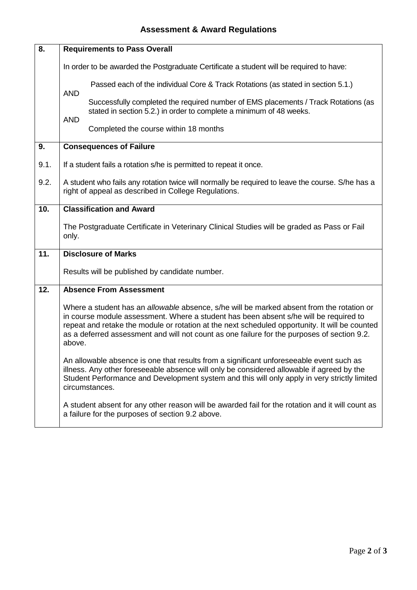| 8.                                                                                                                                                   | <b>Requirements to Pass Overall</b>                                                                                                                                                                                                                                                                                                                                                                                             |  |  |  |  |  |
|------------------------------------------------------------------------------------------------------------------------------------------------------|---------------------------------------------------------------------------------------------------------------------------------------------------------------------------------------------------------------------------------------------------------------------------------------------------------------------------------------------------------------------------------------------------------------------------------|--|--|--|--|--|
|                                                                                                                                                      | In order to be awarded the Postgraduate Certificate a student will be required to have:                                                                                                                                                                                                                                                                                                                                         |  |  |  |  |  |
|                                                                                                                                                      | Passed each of the individual Core & Track Rotations (as stated in section 5.1.)<br><b>AND</b>                                                                                                                                                                                                                                                                                                                                  |  |  |  |  |  |
|                                                                                                                                                      | Successfully completed the required number of EMS placements / Track Rotations (as<br>stated in section 5.2.) in order to complete a minimum of 48 weeks.                                                                                                                                                                                                                                                                       |  |  |  |  |  |
|                                                                                                                                                      | <b>AND</b><br>Completed the course within 18 months                                                                                                                                                                                                                                                                                                                                                                             |  |  |  |  |  |
| 9.                                                                                                                                                   | <b>Consequences of Failure</b>                                                                                                                                                                                                                                                                                                                                                                                                  |  |  |  |  |  |
| 9.1.                                                                                                                                                 | If a student fails a rotation s/he is permitted to repeat it once.                                                                                                                                                                                                                                                                                                                                                              |  |  |  |  |  |
| 9.2.                                                                                                                                                 | A student who fails any rotation twice will normally be required to leave the course. S/he has a<br>right of appeal as described in College Regulations.                                                                                                                                                                                                                                                                        |  |  |  |  |  |
| 10.                                                                                                                                                  | <b>Classification and Award</b>                                                                                                                                                                                                                                                                                                                                                                                                 |  |  |  |  |  |
|                                                                                                                                                      | The Postgraduate Certificate in Veterinary Clinical Studies will be graded as Pass or Fail<br>only.                                                                                                                                                                                                                                                                                                                             |  |  |  |  |  |
| 11.                                                                                                                                                  | <b>Disclosure of Marks</b>                                                                                                                                                                                                                                                                                                                                                                                                      |  |  |  |  |  |
|                                                                                                                                                      | Results will be published by candidate number.                                                                                                                                                                                                                                                                                                                                                                                  |  |  |  |  |  |
| 12.                                                                                                                                                  | <b>Absence From Assessment</b><br>Where a student has an allowable absence, s/he will be marked absent from the rotation or<br>in course module assessment. Where a student has been absent s/he will be required to<br>repeat and retake the module or rotation at the next scheduled opportunity. It will be counted<br>as a deferred assessment and will not count as one failure for the purposes of section 9.2.<br>above. |  |  |  |  |  |
|                                                                                                                                                      |                                                                                                                                                                                                                                                                                                                                                                                                                                 |  |  |  |  |  |
|                                                                                                                                                      | An allowable absence is one that results from a significant unforeseeable event such as<br>illness. Any other foreseeable absence will only be considered allowable if agreed by the<br>Student Performance and Development system and this will only apply in very strictly limited<br>circumstances.                                                                                                                          |  |  |  |  |  |
| A student absent for any other reason will be awarded fail for the rotation and it will count as<br>a failure for the purposes of section 9.2 above. |                                                                                                                                                                                                                                                                                                                                                                                                                                 |  |  |  |  |  |